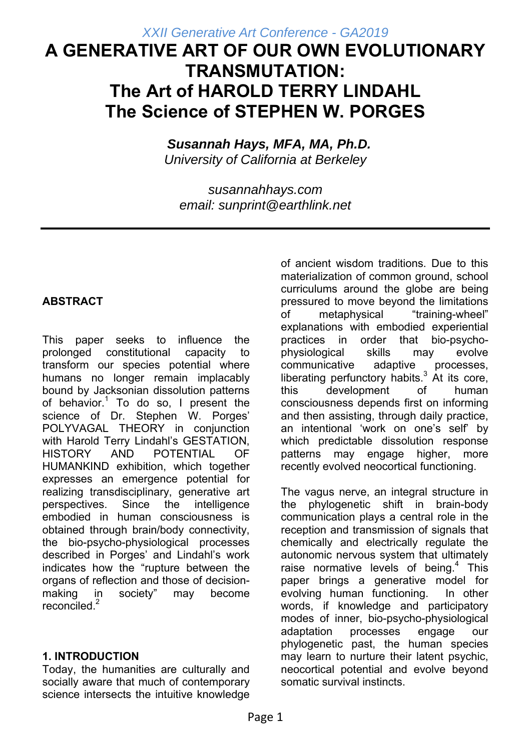# **A GENERATIVE ART OF OUR OWN EVOLUTIONARY TRANSMUTATION: The Art of HAROLD TERRY LINDAHL The Science of STEPHEN W. PORGES**

 *Susannah Hays, MFA, MA, Ph.D. University of California at Berkeley* 

*susannahhays.com email: sunprint@earthlink.net* 

# **ABSTRACT**

This paper seeks to influence the prolonged constitutional capacity to transform our species potential where humans no longer remain implacably bound by Jacksonian dissolution patterns of behavior.<sup>1</sup> To do so, I present the science of Dr. Stephen W. Porges' POLYVAGAL THEORY in conjunction with Harold Terry Lindahl's GESTATION, HISTORY AND POTENTIAL OF HUMANKIND exhibition, which together expresses an emergence potential for realizing transdisciplinary, generative art perspectives. Since the intelligence embodied in human consciousness is obtained through brain/body connectivity, the bio-psycho-physiological processes described in Porges' and Lindahl's work indicates how the "rupture between the organs of reflection and those of decisionmaking in society" may become  $reconciled.<sup>2</sup>$ 

### **1. INTRODUCTION**

Today, the humanities are culturally and socially aware that much of contemporary science intersects the intuitive knowledge of ancient wisdom traditions. Due to this materialization of common ground, school curriculums around the globe are being pressured to move beyond the limitations of metaphysical "training-wheel" explanations with embodied experiential practices in order that bio-psychophysiological skills may evolve communicative adaptive processes, liberating perfunctory habits.<sup>3</sup> At its core, this development of human consciousness depends first on informing and then assisting, through daily practice, an intentional 'work on one's self' by which predictable dissolution response patterns may engage higher, more recently evolved neocortical functioning.

The vagus nerve, an integral structure in the phylogenetic shift in brain-body communication plays a central role in the reception and transmission of signals that chemically and electrically regulate the autonomic nervous system that ultimately raise normative levels of being. $4$  This paper brings a generative model for evolving human functioning. In other words, if knowledge and participatory modes of inner, bio-psycho-physiological adaptation processes engage our phylogenetic past, the human species may learn to nurture their latent psychic, neocortical potential and evolve beyond somatic survival instincts.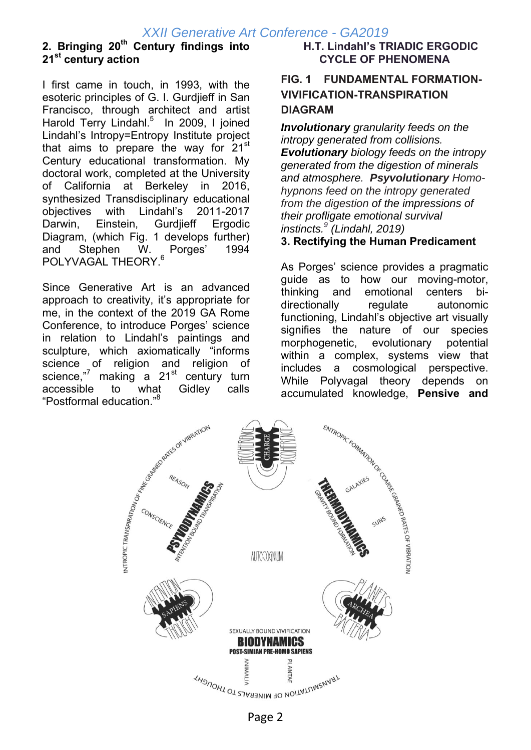# **2. Bringing 20th Century findings into 21st century action**

I first came in touch, in 1993, with the esoteric principles of G. I. Gurdjieff in San Francisco, through architect and artist Harold Terry Lindahl.<sup>5</sup> In 2009, I joined Lindahl's Intropy=Entropy Institute project that aims to prepare the way for  $21<sup>st</sup>$ Century educational transformation. My doctoral work, completed at the University of California at Berkeley in 2016, synthesized Transdisciplinary educational objectives with Lindahl's 2011-2017 Darwin, Einstein, Gurdjieff Ergodic Diagram, (which Fig. 1 develops further) and Stephen W. Porges' 1994 POLYVAGAL THEORY.<sup>6</sup>

Since Generative Art is an advanced approach to creativity, it's appropriate for me, in the context of the 2019 GA Rome Conference, to introduce Porges' science in relation to Lindahl's paintings and sculpture, which axiomatically "informs science of religion and religion of science,"<sup>7</sup> making a 21<sup>st</sup> century turn "Postformal education."8

### **H.T. Lindahl's TRIADIC ERGODIC CYCLE OF PHENOMENA**

# **FIG. 1 FUNDAMENTAL FORMATION-VIVIFICATION-TRANSPIRATION DIAGRAM**

*Involutionary granularity feeds on the intropy generated from collisions. Evolutionary biology feeds on the intropy generated from the digestion of minerals and atmosphere. Psyvolutionary Homohypnons feed on the intropy generated from the digestion of the impressions of their profligate emotional survival instincts.9 (Lindahl, 2019)*

### **3. Rectifying the Human Predicament**

As Porges' science provides a pragmatic guide as to how our moving-motor, thinking and emotional centers bidirectionally regulate autonomic functioning, Lindahl's objective art visually signifies the nature of our species morphogenetic, evolutionary potential within a complex, systems view that includes a cosmological perspective. accumulated knowledge, **Pensive and** 



Page 2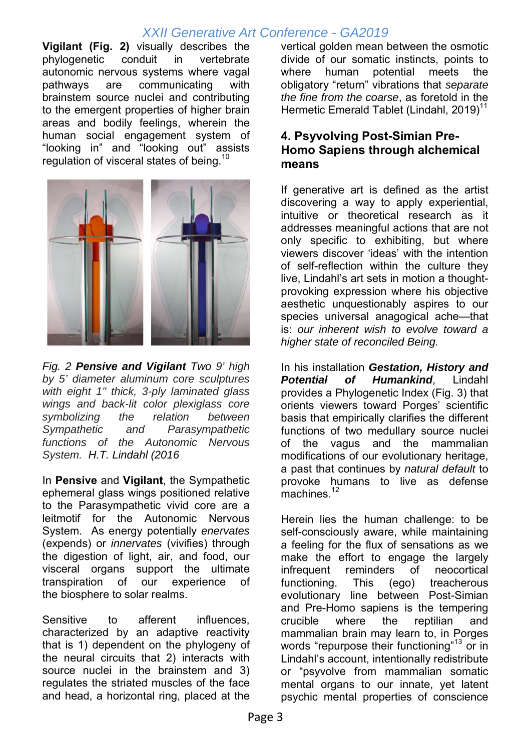**Vigilant (Fig. 2)** visually describes the phylogenetic conduit in vertebrate autonomic nervous systems where vagal pathways are communicating with brainstem source nuclei and contributing to the emergent properties of higher brain areas and bodily feelings, wherein the human social engagement system of "looking in" and "looking out" assists regulation of visceral states of being.<sup>10</sup>



*Fig. 2 Pensive and Vigilant Two 9' high by 5' diameter aluminum core sculptures with eight 1" thick, 3-ply laminated glass wings and back-lit color plexiglass core symbolizing the relation between Sympathetic and Parasympathetic functions of the Autonomic Nervous System. H.T. Lindahl (2016* 

In **Pensive** and **Vigilant**, the Sympathetic ephemeral glass wings positioned relative to the Parasympathetic vivid core are a leitmotif for the Autonomic Nervous System. As energy potentially *enervates* (expends) or *innervates* (vivifies) through the digestion of light, air, and food, our visceral organs support the ultimate transpiration of our experience of the biosphere to solar realms.

Sensitive to afferent influences, characterized by an adaptive reactivity that is 1) dependent on the phylogeny of the neural circuits that 2) interacts with source nuclei in the brainstem and 3) regulates the striated muscles of the face and head, a horizontal ring, placed at the

vertical golden mean between the osmotic divide of our somatic instincts, points to where human potential meets the obligatory "return" vibrations that *separate the fine from the coarse*, as foretold in the Hermetic Emerald Tablet (Lindahl, 2019)<sup>11</sup>

### **4. Psyvolving Post-Simian Pre-Homo Sapiens through alchemical means**

If generative art is defined as the artist discovering a way to apply experiential, intuitive or theoretical research as it addresses meaningful actions that are not only specific to exhibiting, but where viewers discover 'ideas' with the intention of self-reflection within the culture they live, Lindahl's art sets in motion a thoughtprovoking expression where his objective aesthetic unquestionably aspires to our species universal anagogical ache—that is: *our inherent wish to evolve toward a higher state of reconciled Being.* 

In his installation *Gestation, History and Potential of Humankind*, Lindahl provides a Phylogenetic Index (Fig. 3) that orients viewers toward Porges' scientific basis that empirically clarifies the different functions of two medullary source nuclei of the vagus and the mammalian modifications of our evolutionary heritage, a past that continues by *natural default* to provoke humans to live as defense machines.<sup>12</sup>

Herein lies the human challenge: to be self-consciously aware, while maintaining a feeling for the flux of sensations as we make the effort to engage the largely infrequent reminders of neocortical functioning. This (ego) treacherous evolutionary line between Post-Simian and Pre-Homo sapiens is the tempering crucible where the reptilian and mammalian brain may learn to, in Porges words "repurpose their functioning"<sup>13</sup> or in Lindahl's account, intentionally redistribute or "psyvolve from mammalian somatic mental organs to our innate, yet latent psychic mental properties of conscience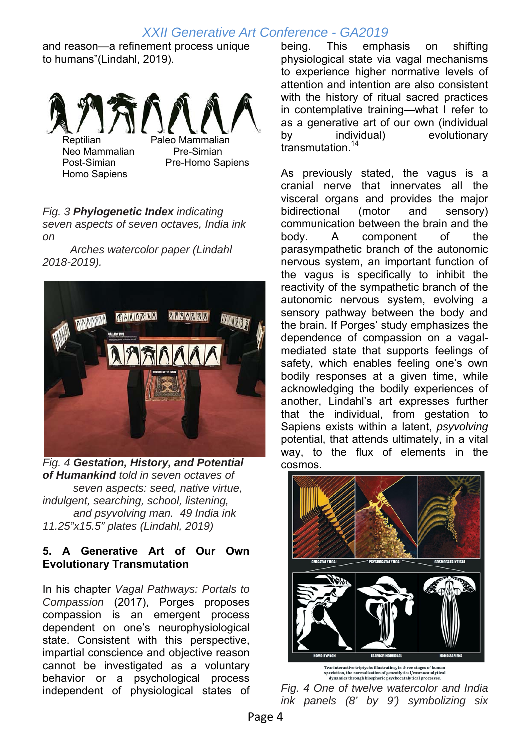and reason—a refinement process unique to humans"(Lindahl, 2019).



Homo Sapiens

Post-Simian Pre-Homo Sapiens

#### *Fig. 3 Phylogenetic Index indicating seven aspects of seven octaves, India ink on*

 *Arches watercolor paper (Lindahl 2018-2019).* 



*Fig. 4 Gestation, History, and Potential of Humankind told in seven octaves of seven aspects: seed, native virtue, indulgent, searching, school, listening, and psyvolving man. 49 India ink 11.25"x15.5" plates (Lindahl, 2019)* 

### **5. A Generative Art of Our Own Evolutionary Transmutation**

In his chapter *Vagal Pathways: Portals to Compassion* (2017), Porges proposes compassion is an emergent process dependent on one's neurophysiological state. Consistent with this perspective, impartial conscience and objective reason cannot be investigated as a voluntary behavior or a psychological process independent of physiological states of

being. This emphasis on shifting physiological state via vagal mechanisms to experience higher normative levels of attention and intention are also consistent with the history of ritual sacred practices in contemplative training—what I refer to as a generative art of our own (individual by individual) evolutionary transmutation.<sup>14</sup>

As previously stated, the vagus is a cranial nerve that innervates all the visceral organs and provides the major bidirectional (motor and sensory) communication between the brain and the body. A component of the parasympathetic branch of the autonomic nervous system, an important function of the vagus is specifically to inhibit the reactivity of the sympathetic branch of the autonomic nervous system, evolving a sensory pathway between the body and the brain. If Porges' study emphasizes the dependence of compassion on a vagalmediated state that supports feelings of safety, which enables feeling one's own bodily responses at a given time, while acknowledging the bodily experiences of another, Lindahl's art expresses further that the individual, from gestation to Sapiens exists within a latent, *psyvolving* potential, that attends ultimately, in a vital way, to the flux of elements in the cosmos.



*Fig. 4 One of twelve watercolor and India ink panels (8' by 9') symbolizing six*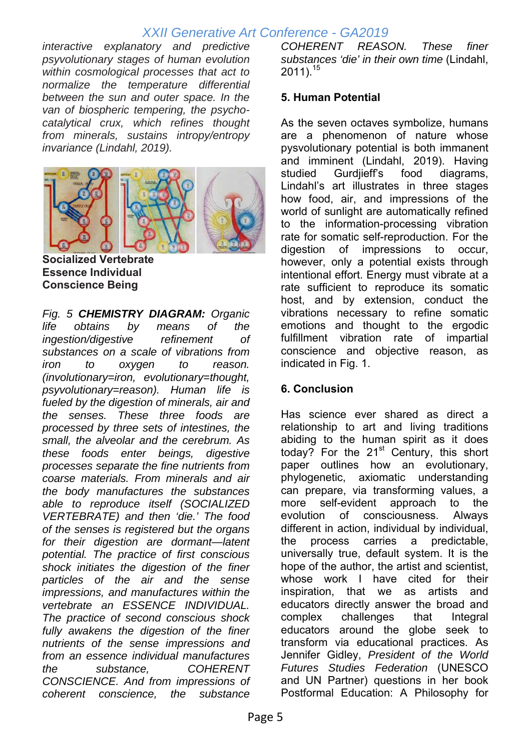*interactive explanatory and predictive psyvolutionary stages of human evolution within cosmological processes that act to normalize the temperature differential between the sun and outer space. In the van of biospheric tempering, the psychocatalytical crux, which refines thought from minerals, sustains intropy/entropy invariance (Lindahl, 2019).* 



**Socialized Vertebrate Essence Individual Conscience Being** 

*Fig. 5 CHEMISTRY DIAGRAM: Organic life obtains by means of the ingestion/digestive refinement of substances on a scale of vibrations from iron to oxygen to reason. (involutionary=iron, evolutionary=thought, psyvolutionary=reason). Human life is fueled by the digestion of minerals, air and the senses. These three foods are processed by three sets of intestines, the small, the alveolar and the cerebrum. As these foods enter beings, digestive processes separate the fine nutrients from coarse materials. From minerals and air the body manufactures the substances able to reproduce itself (SOCIALIZED VERTEBRATE) and then 'die.' The food of the senses is registered but the organs for their digestion are dormant—latent potential. The practice of first conscious shock initiates the digestion of the finer particles of the air and the sense impressions, and manufactures within the vertebrate an ESSENCE INDIVIDUAL. The practice of second conscious shock fully awakens the digestion of the finer nutrients of the sense impressions and from an essence individual manufactures the substance, COHERENT CONSCIENCE. And from impressions of coherent conscience, the substance* 

*COHERENT REASON. These finer substances 'die' in their own time* (Lindahl,  $2011$ ).<sup>15</sup>

### **5. Human Potential**

As the seven octaves symbolize, humans are a phenomenon of nature whose pysvolutionary potential is both immanent and imminent (Lindahl, 2019). Having studied Gurdjieff's food diagrams, Lindahl's art illustrates in three stages how food, air, and impressions of the world of sunlight are automatically refined to the information-processing vibration rate for somatic self-reproduction. For the digestion of impressions to occur, however, only a potential exists through intentional effort. Energy must vibrate at a rate sufficient to reproduce its somatic host, and by extension, conduct the vibrations necessary to refine somatic emotions and thought to the ergodic fulfillment vibration rate of impartial conscience and objective reason, as indicated in Fig. 1.

### **6. Conclusion**

Has science ever shared as direct a relationship to art and living traditions abiding to the human spirit as it does today? For the  $21<sup>st</sup>$  Century, this short paper outlines how an evolutionary, phylogenetic, axiomatic understanding can prepare, via transforming values, a more self-evident approach to the evolution of consciousness. Always different in action, individual by individual, the process carries a predictable, universally true, default system. It is the hope of the author, the artist and scientist, whose work I have cited for their inspiration, that we as artists and educators directly answer the broad and complex challenges that Integral educators around the globe seek to transform via educational practices. As Jennifer Gidley, *President of the World Futures Studies Federation* (UNESCO and UN Partner) questions in her book Postformal Education: A Philosophy for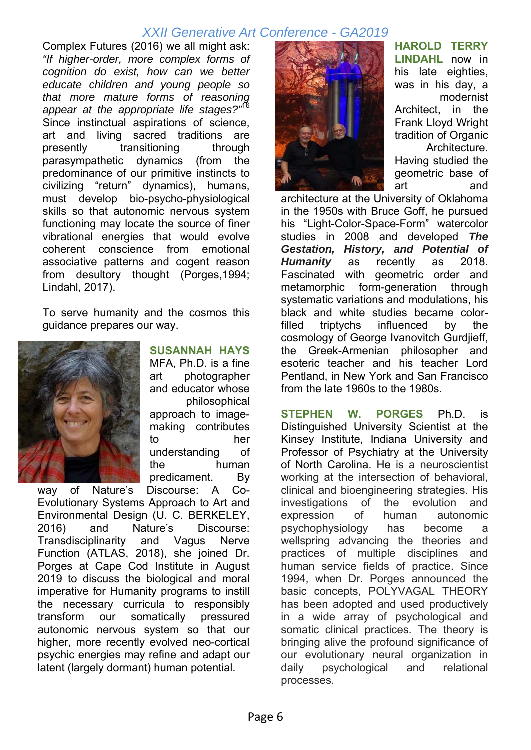Complex Futures (2016) we all might ask: *"If higher-order, more complex forms of cognition do exist, how can we better educate children and young people so that more mature forms of reasoning appear at the appropriate life stages?"*<sup>16</sup> Since instinctual aspirations of science, art and living sacred traditions are presently transitioning through parasympathetic dynamics (from the predominance of our primitive instincts to civilizing "return" dynamics), humans, must develop bio-psycho-physiological skills so that autonomic nervous system functioning may locate the source of finer vibrational energies that would evolve coherent conscience from emotional associative patterns and cogent reason from desultory thought (Porges,1994; Lindahl, 2017).

To serve humanity and the cosmos this guidance prepares our way.



**SUSANNAH HAYS** MFA, Ph.D. is a fine art photographer and educator whose philosophical approach to imagemaking contributes to her understanding of the human predicament. By

way of Nature's Discourse: A Co-Evolutionary Systems Approach to Art and Environmental Design (U. C. BERKELEY, 2016) and Nature's Discourse: Transdisciplinarity and Vagus Nerve Function (ATLAS, 2018), she joined Dr. Porges at Cape Cod Institute in August 2019 to discuss the biological and moral imperative for Humanity programs to instill the necessary curricula to responsibly transform our somatically pressured autonomic nervous system so that our higher, more recently evolved neo-cortical psychic energies may refine and adapt our latent (largely dormant) human potential.



**HAROLD TERRY LINDAHL** now in his late eighties, was in his day, a modernist Architect, in the Frank Lloyd Wright tradition of Organic Architecture. Having studied the geometric base of art and

architecture at the University of Oklahoma in the 1950s with Bruce Goff, he pursued his "Light-Color-Space-Form" watercolor studies in 2008 and developed *The Gestation, History, and Potential of Humanity* as recently as 2018. Fascinated with geometric order and metamorphic form-generation through systematic variations and modulations, his black and white studies became colorfilled triptychs influenced by the cosmology of George Ivanovitch Gurdjieff, the Greek-Armenian philosopher and esoteric teacher and his teacher Lord Pentland, in New York and San Francisco from the late 1960s to the 1980s.

**STEPHEN W. PORGES** Ph.D. is Distinguished University Scientist at the Kinsey Institute, Indiana University and Professor of Psychiatry at the University of North Carolina. He is a neuroscientist working at the intersection of behavioral, clinical and bioengineering strategies. His investigations of the evolution and expression of human autonomic psychophysiology has become a wellspring advancing the theories and practices of multiple disciplines and human service fields of practice. Since 1994, when Dr. Porges announced the basic concepts, POLYVAGAL THEORY has been adopted and used productively in a wide array of psychological and somatic clinical practices. The theory is bringing alive the profound significance of our evolutionary neural organization in daily psychological and relational processes.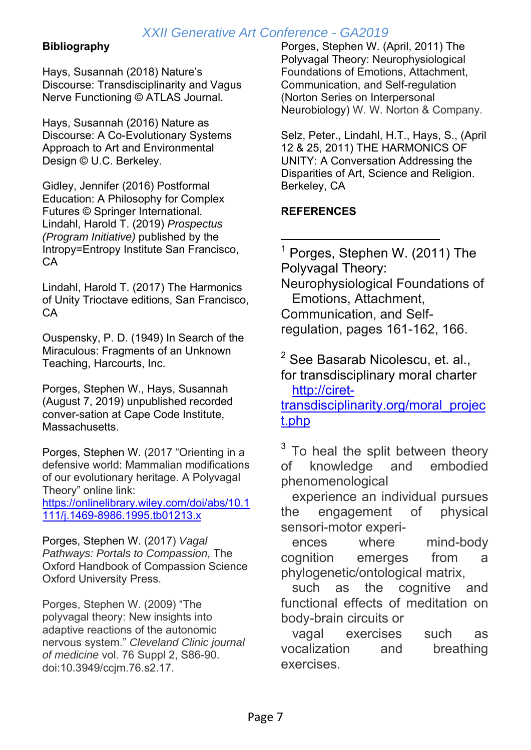### **Bibliography**

Hays, Susannah (2018) Nature's Discourse: Transdisciplinarity and Vagus Nerve Functioning © ATLAS Journal.

Hays, Susannah (2016) Nature as Discourse: A Co-Evolutionary Systems Approach to Art and Environmental Design © U.C. Berkeley.

Gidley, Jennifer (2016) Postformal Education: A Philosophy for Complex Futures © Springer International. Lindahl, Harold T. (2019) *Prospectus (Program Initiative)* published by the Intropy=Entropy Institute San Francisco, CA

Lindahl, Harold T. (2017) The Harmonics of Unity Trioctave editions, San Francisco, CA

Ouspensky, P. D. (1949) In Search of the Miraculous: Fragments of an Unknown Teaching, Harcourts, Inc.

Porges, Stephen W., Hays, Susannah (August 7, 2019) unpublished recorded conver-sation at Cape Code Institute, Massachusetts.

Porges, Stephen W. (2017 "Orienting in a defensive world: Mammalian modifications of our evolutionary heritage. A Polyvagal Theory" online link: https://onlinelibrary.wiley.com/doi/abs/10.1 111/j.1469-8986.1995.tb01213.x

Porges, Stephen W. (2017) *Vagal Pathways: Portals to Compassion*, The Oxford Handbook of Compassion Science Oxford University Press.

Porges, Stephen W. (2009) "The polyvagal theory: New insights into adaptive reactions of the autonomic nervous system." *Cleveland Clinic journal of medicine* vol. 76 Suppl 2, S86-90. doi:10.3949/ccjm.76.s2.17.

Porges, Stephen W. (April, 2011) The Polyvagal Theory: Neurophysiological Foundations of Emotions, Attachment, Communication, and Self-regulation (Norton Series on Interpersonal Neurobiology) W. W. Norton & Company.

Selz, Peter., Lindahl, H.T., Hays, S., (April 12 & 25, 2011) THE HARMONICS OF UNITY: A Conversation Addressing the Disparities of Art, Science and Religion. Berkeley, CA

### **REFERENCES**

- $<sup>1</sup>$  Porges, Stephen W. (2011) The</sup> Polyvagal Theory: Neurophysiological Foundations of Emotions, Attachment, Communication, and Selfregulation, pages 161-162, 166.

 $^2$  See Basarab Nicolescu, et. al., for transdisciplinary moral charter http://ciret-

transdisciplinarity.org/moral\_projec t.php

 $3$  To heal the split between theory of knowledge and embodied phenomenological

 experience an individual pursues the engagement of physical sensori-motor experi-

 ences where mind-body cognition emerges from a phylogenetic/ontological matrix,

 such as the cognitive and functional effects of meditation on body-brain circuits or

 vagal exercises such as vocalization and breathing exercises.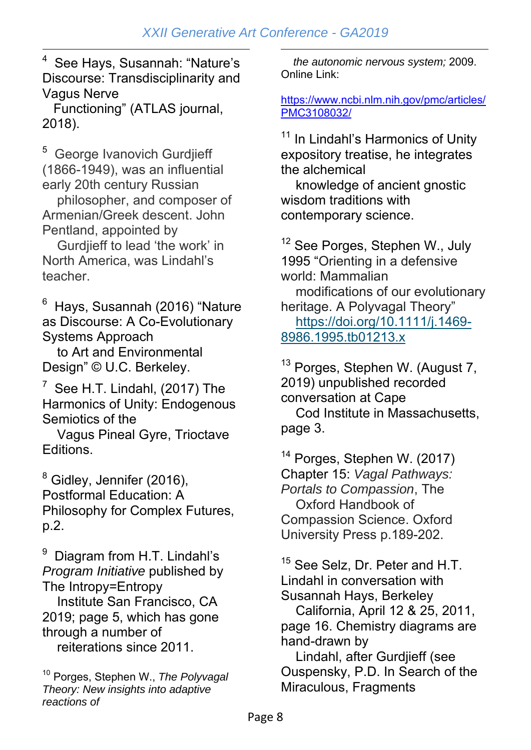-4 See Hays, Susannah: "Nature's Discourse: Transdisciplinarity and Vagus Nerve

 Functioning" (ATLAS journal, 2018).

5 George Ivanovich Gurdjieff (1866-1949), was an influential early 20th century Russian

 philosopher, and composer of Armenian/Greek descent. John Pentland, appointed by

 Gurdjieff to lead 'the work' in North America, was Lindahl's teacher.

6 Hays, Susannah (2016) "Nature as Discourse: A Co-Evolutionary Systems Approach

 to Art and Environmental Design" © U.C. Berkeley.

 $7$  See H.T. Lindahl, (2017) The Harmonics of Unity: Endogenous Semiotics of the

 Vagus Pineal Gyre, Trioctave Editions.

 $^8$  Gidley, Jennifer (2016), Postformal Education: A Philosophy for Complex Futures, p.2.

9 Diagram from H.T. Lindahl's *Program Initiative* published by The Intropy=Entropy

 Institute San Francisco, CA 2019; page 5, which has gone through a number of reiterations since 2011.

<sup>10</sup> Porges, Stephen W., *The Polyvagal Theory: New insights into adaptive reactions of* 

<u>.</u>  *the autonomic nervous system;* 2009. Online Link:

https://www.ncbi.nlm.nih.gov/pmc/articles/ PMC3108032/

<sup>11</sup> In Lindahl's Harmonics of Unity expository treatise, he integrates the alchemical

 knowledge of ancient gnostic wisdom traditions with contemporary science.

<sup>12</sup> See Porges, Stephen W., July 1995 "Orienting in a defensive world: Mammalian

 modifications of our evolutionary heritage. A Polyvagal Theory" https://doi.org/10.1111/j.1469- 8986.1995.tb01213.x

<sup>13</sup> Porges, Stephen W. (August 7, 2019) unpublished recorded conversation at Cape

 Cod Institute in Massachusetts, page 3.

<sup>14</sup> Porges, Stephen W. (2017) Chapter 15: *Vagal Pathways: Portals to Compassion*, The Oxford Handbook of Compassion Science. Oxford University Press p.189-202.

<sup>15</sup> See Selz, Dr. Peter and H.T. Lindahl in conversation with Susannah Hays, Berkeley

 California, April 12 & 25, 2011, page 16. Chemistry diagrams are hand-drawn by

 Lindahl, after Gurdjieff (see Ouspensky, P.D. In Search of the Miraculous, Fragments